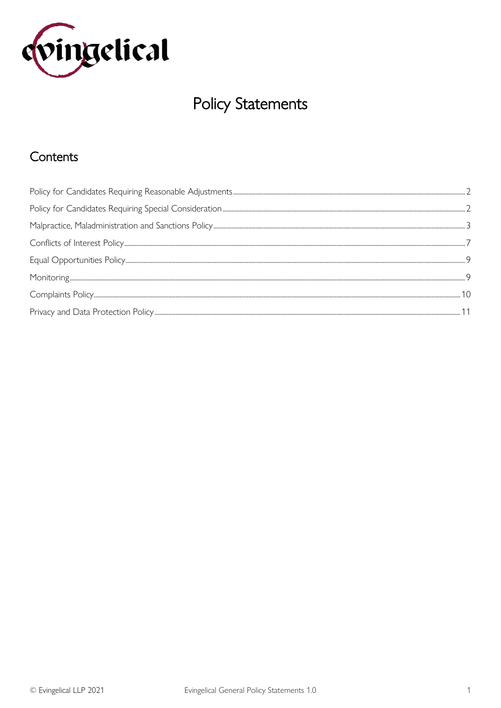

# **Policy Statements**

# Contents

<span id="page-0-0"></span>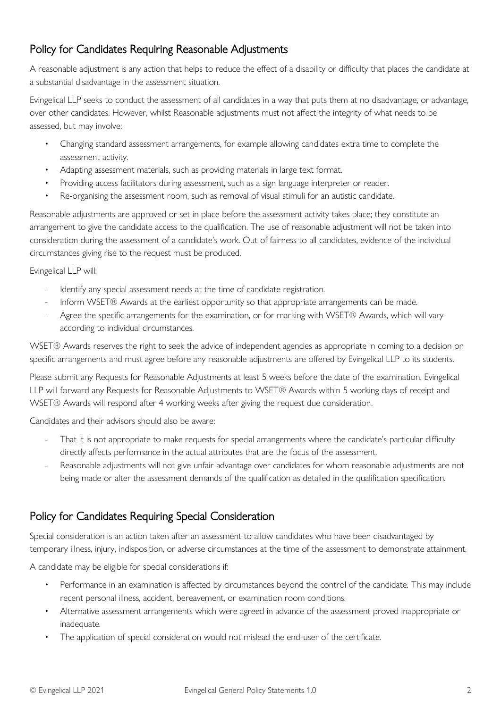# Policy for Candidates Requiring Reasonable Adjustments

A reasonable adjustment is any action that helps to reduce the effect of a disability or difficulty that places the candidate at a substantial disadvantage in the assessment situation.

Evingelical LLP seeks to conduct the assessment of all candidates in a way that puts them at no disadvantage, or advantage, over other candidates. However, whilst Reasonable adjustments must not affect the integrity of what needs to be assessed, but may involve:

- Changing standard assessment arrangements, for example allowing candidates extra time to complete the assessment activity.
- Adapting assessment materials, such as providing materials in large text format.
- Providing access facilitators during assessment, such as a sign language interpreter or reader.
- Re-organising the assessment room, such as removal of visual stimuli for an autistic candidate.

Reasonable adjustments are approved or set in place before the assessment activity takes place; they constitute an arrangement to give the candidate access to the qualification. The use of reasonable adjustment will not be taken into consideration during the assessment of a candidate's work. Out of fairness to all candidates, evidence of the individual circumstances giving rise to the request must be produced.

Evingelical LLP will:

- Identify any special assessment needs at the time of candidate registration.
- Inform WSET® Awards at the earliest opportunity so that appropriate arrangements can be made.
- Agree the specific arrangements for the examination, or for marking with WSET® Awards, which will vary according to individual circumstances.

WSET® Awards reserves the right to seek the advice of independent agencies as appropriate in coming to a decision on specific arrangements and must agree before any reasonable adjustments are offered by Evingelical LLP to its students.

Please submit any Requests for Reasonable Adjustments at least 5 weeks before the date of the examination. Evingelical LLP will forward any Requests for Reasonable Adjustments to WSET® Awards within 5 working days of receipt and WSET® Awards will respond after 4 working weeks after giving the request due consideration.

Candidates and their advisors should also be aware:

- That it is not appropriate to make requests for special arrangements where the candidate's particular difficulty directly affects performance in the actual attributes that are the focus of the assessment.
- Reasonable adjustments will not give unfair advantage over candidates for whom reasonable adjustments are not being made or alter the assessment demands of the qualification as detailed in the qualification specification.

# <span id="page-1-0"></span>Policy for Candidates Requiring Special Consideration

Special consideration is an action taken after an assessment to allow candidates who have been disadvantaged by temporary illness, injury, indisposition, or adverse circumstances at the time of the assessment to demonstrate attainment.

A candidate may be eligible for special considerations if:

- Performance in an examination is affected by circumstances beyond the control of the candidate. This may include recent personal illness, accident, bereavement, or examination room conditions.
- Alternative assessment arrangements which were agreed in advance of the assessment proved inappropriate or inadequate.
- The application of special consideration would not mislead the end-user of the certificate.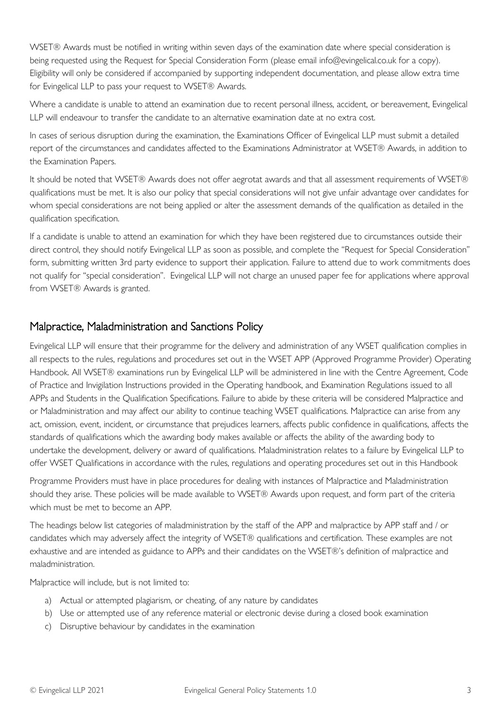WSET® Awards must be notified in writing within seven days of the examination date where special consideration is being requested using the Request for Special Consideration Form (please email info@evingelical.co.uk for a copy). Eligibility will only be considered if accompanied by supporting independent documentation, and please allow extra time for Evingelical LLP to pass your request to WSET® Awards.

Where a candidate is unable to attend an examination due to recent personal illness, accident, or bereavement, Evingelical LLP will endeavour to transfer the candidate to an alternative examination date at no extra cost.

In cases of serious disruption during the examination, the Examinations Officer of Evingelical LLP must submit a detailed report of the circumstances and candidates affected to the Examinations Administrator at WSET® Awards, in addition to the Examination Papers.

It should be noted that WSET® Awards does not offer aegrotat awards and that all assessment requirements of WSET® qualifications must be met. It is also our policy that special considerations will not give unfair advantage over candidates for whom special considerations are not being applied or alter the assessment demands of the qualification as detailed in the qualification specification.

If a candidate is unable to attend an examination for which they have been registered due to circumstances outside their direct control, they should notify Evingelical LLP as soon as possible, and complete the "Request for Special Consideration" form, submitting written 3rd party evidence to support their application. Failure to attend due to work commitments does not qualify for "special consideration". Evingelical LLP will not charge an unused paper fee for applications where approval from WSET® Awards is granted.

# <span id="page-2-0"></span>Malpractice, Maladministration and Sanctions Policy

Evingelical LLP will ensure that their programme for the delivery and administration of any WSET qualification complies in all respects to the rules, regulations and procedures set out in the WSET APP (Approved Programme Provider) Operating Handbook. All WSET® examinations run by Evingelical LLP will be administered in line with the Centre Agreement, Code of Practice and Invigilation Instructions provided in the Operating handbook, and Examination Regulations issued to all APPs and Students in the Qualification Specifications. Failure to abide by these criteria will be considered Malpractice and or Maladministration and may affect our ability to continue teaching WSET qualifications. Malpractice can arise from any act, omission, event, incident, or circumstance that prejudices learners, affects public confidence in qualifications, affects the standards of qualifications which the awarding body makes available or affects the ability of the awarding body to undertake the development, delivery or award of qualifications. Maladministration relates to a failure by Evingelical LLP to offer WSET Qualifications in accordance with the rules, regulations and operating procedures set out in this Handbook

Programme Providers must have in place procedures for dealing with instances of Malpractice and Maladministration should they arise. These policies will be made available to WSET® Awards upon request, and form part of the criteria which must be met to become an APP.

The headings below list categories of maladministration by the staff of the APP and malpractice by APP staff and / or candidates which may adversely affect the integrity of WSET® qualifications and certification. These examples are not exhaustive and are intended as guidance to APPs and their candidates on the WSET®'s definition of malpractice and maladministration.

Malpractice will include, but is not limited to:

- a) Actual or attempted plagiarism, or cheating, of any nature by candidates
- b) Use or attempted use of any reference material or electronic devise during a closed book examination
- c) Disruptive behaviour by candidates in the examination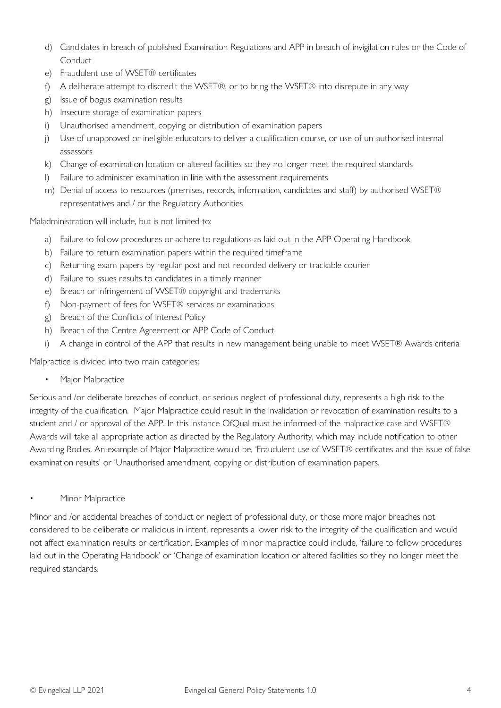- d) Candidates in breach of published Examination Regulations and APP in breach of invigilation rules or the Code of Conduct
- e) Fraudulent use of WSET® certificates
- f) A deliberate attempt to discredit the WSET®, or to bring the WSET® into disrepute in any way
- g) Issue of bogus examination results
- h) Insecure storage of examination papers
- i) Unauthorised amendment, copying or distribution of examination papers
- j) Use of unapproved or ineligible educators to deliver a qualification course, or use of un-authorised internal assessors
- k) Change of examination location or altered facilities so they no longer meet the required standards
- l) Failure to administer examination in line with the assessment requirements
- m) Denial of access to resources (premises, records, information, candidates and staff) by authorised WSET® representatives and / or the Regulatory Authorities

Maladministration will include, but is not limited to:

- a) Failure to follow procedures or adhere to regulations as laid out in the APP Operating Handbook
- b) Failure to return examination papers within the required timeframe
- c) Returning exam papers by regular post and not recorded delivery or trackable courier
- d) Failure to issues results to candidates in a timely manner
- e) Breach or infringement of WSET® copyright and trademarks
- f) Non-payment of fees for WSET® services or examinations
- g) Breach of the Conflicts of Interest Policy
- h) Breach of the Centre Agreement or APP Code of Conduct
- i) A change in control of the APP that results in new management being unable to meet WSET® Awards criteria

Malpractice is divided into two main categories:

Major Malpractice

Serious and /or deliberate breaches of conduct, or serious neglect of professional duty, represents a high risk to the integrity of the qualification. Major Malpractice could result in the invalidation or revocation of examination results to a student and / or approval of the APP. In this instance OfQual must be informed of the malpractice case and WSET® Awards will take all appropriate action as directed by the Regulatory Authority, which may include notification to other Awarding Bodies. An example of Major Malpractice would be, 'Fraudulent use of WSET® certificates and the issue of false examination results' or 'Unauthorised amendment, copying or distribution of examination papers.

Minor Malpractice

Minor and /or accidental breaches of conduct or neglect of professional duty, or those more major breaches not considered to be deliberate or malicious in intent, represents a lower risk to the integrity of the qualification and would not affect examination results or certification. Examples of minor malpractice could include, 'failure to follow procedures laid out in the Operating Handbook' or 'Change of examination location or altered facilities so they no longer meet the required standards.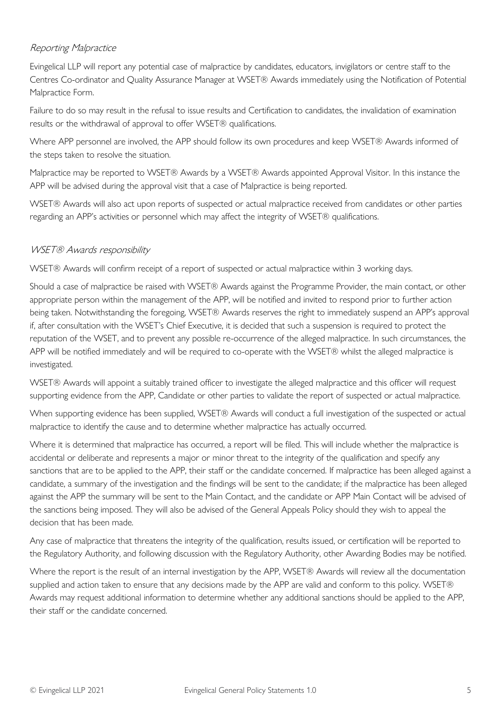# Reporting Malpractice

Evingelical LLP will report any potential case of malpractice by candidates, educators, invigilators or centre staff to the Centres Co-ordinator and Quality Assurance Manager at WSET® Awards immediately using the Notification of Potential Malpractice Form.

Failure to do so may result in the refusal to issue results and Certification to candidates, the invalidation of examination results or the withdrawal of approval to offer WSET® qualifications.

Where APP personnel are involved, the APP should follow its own procedures and keep WSET® Awards informed of the steps taken to resolve the situation.

Malpractice may be reported to WSET® Awards by a WSET® Awards appointed Approval Visitor. In this instance the APP will be advised during the approval visit that a case of Malpractice is being reported.

WSET® Awards will also act upon reports of suspected or actual malpractice received from candidates or other parties regarding an APP's activities or personnel which may affect the integrity of WSET® qualifications.

# WSET® Awards responsibility

WSET® Awards will confirm receipt of a report of suspected or actual malpractice within 3 working days.

Should a case of malpractice be raised with WSET® Awards against the Programme Provider, the main contact, or other appropriate person within the management of the APP, will be notified and invited to respond prior to further action being taken. Notwithstanding the foregoing, WSET® Awards reserves the right to immediately suspend an APP's approval if, after consultation with the WSET's Chief Executive, it is decided that such a suspension is required to protect the reputation of the WSET, and to prevent any possible re-occurrence of the alleged malpractice. In such circumstances, the APP will be notified immediately and will be required to co-operate with the WSET® whilst the alleged malpractice is investigated.

WSET® Awards will appoint a suitably trained officer to investigate the alleged malpractice and this officer will request supporting evidence from the APP, Candidate or other parties to validate the report of suspected or actual malpractice.

When supporting evidence has been supplied, WSET® Awards will conduct a full investigation of the suspected or actual malpractice to identify the cause and to determine whether malpractice has actually occurred.

Where it is determined that malpractice has occurred, a report will be filed. This will include whether the malpractice is accidental or deliberate and represents a major or minor threat to the integrity of the qualification and specify any sanctions that are to be applied to the APP, their staff or the candidate concerned. If malpractice has been alleged against a candidate, a summary of the investigation and the findings will be sent to the candidate; if the malpractice has been alleged against the APP the summary will be sent to the Main Contact, and the candidate or APP Main Contact will be advised of the sanctions being imposed. They will also be advised of the General Appeals Policy should they wish to appeal the decision that has been made.

Any case of malpractice that threatens the integrity of the qualification, results issued, or certification will be reported to the Regulatory Authority, and following discussion with the Regulatory Authority, other Awarding Bodies may be notified.

Where the report is the result of an internal investigation by the APP, WSET® Awards will review all the documentation supplied and action taken to ensure that any decisions made by the APP are valid and conform to this policy. WSET® Awards may request additional information to determine whether any additional sanctions should be applied to the APP, their staff or the candidate concerned.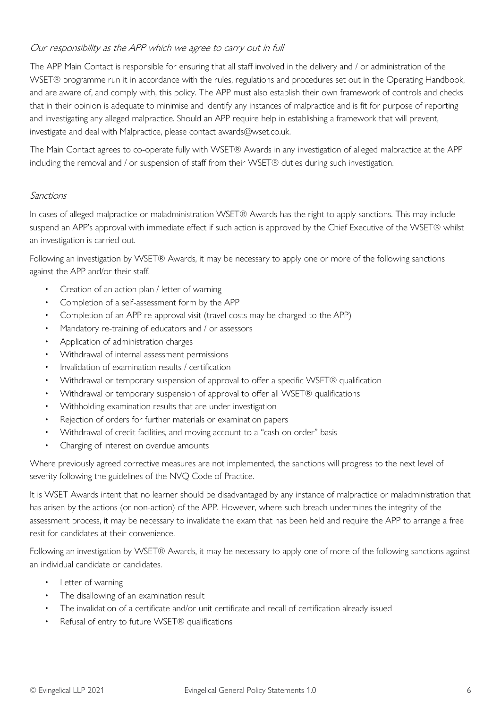# Our responsibility as the APP which we agree to carry out in full

The APP Main Contact is responsible for ensuring that all staff involved in the delivery and / or administration of the WSET® programme run it in accordance with the rules, regulations and procedures set out in the Operating Handbook, and are aware of, and comply with, this policy. The APP must also establish their own framework of controls and checks that in their opinion is adequate to minimise and identify any instances of malpractice and is fit for purpose of reporting and investigating any alleged malpractice. Should an APP require help in establishing a framework that will prevent, investigate and deal with Malpractice, please contact awards@wset.co.uk.

The Main Contact agrees to co-operate fully with WSET® Awards in any investigation of alleged malpractice at the APP including the removal and / or suspension of staff from their WSET® duties during such investigation.

#### Sanctions

In cases of alleged malpractice or maladministration WSET® Awards has the right to apply sanctions. This may include suspend an APP's approval with immediate effect if such action is approved by the Chief Executive of the WSET® whilst an investigation is carried out.

Following an investigation by WSET® Awards, it may be necessary to apply one or more of the following sanctions against the APP and/or their staff.

- Creation of an action plan / letter of warning
- Completion of a self-assessment form by the APP
- Completion of an APP re-approval visit (travel costs may be charged to the APP)
- Mandatory re-training of educators and / or assessors
- Application of administration charges
- Withdrawal of internal assessment permissions
- Invalidation of examination results / certification
- Withdrawal or temporary suspension of approval to offer a specific WSET® qualification
- Withdrawal or temporary suspension of approval to offer all WSET® qualifications
- Withholding examination results that are under investigation
- Rejection of orders for further materials or examination papers
- Withdrawal of credit facilities, and moving account to a "cash on order" basis
- Charging of interest on overdue amounts

Where previously agreed corrective measures are not implemented, the sanctions will progress to the next level of severity following the guidelines of the NVQ Code of Practice.

It is WSET Awards intent that no learner should be disadvantaged by any instance of malpractice or maladministration that has arisen by the actions (or non-action) of the APP. However, where such breach undermines the integrity of the assessment process, it may be necessary to invalidate the exam that has been held and require the APP to arrange a free resit for candidates at their convenience.

Following an investigation by WSET® Awards, it may be necessary to apply one of more of the following sanctions against an individual candidate or candidates.

- Letter of warning
- The disallowing of an examination result
- The invalidation of a certificate and/or unit certificate and recall of certification already issued
- Refusal of entry to future WSET® qualifications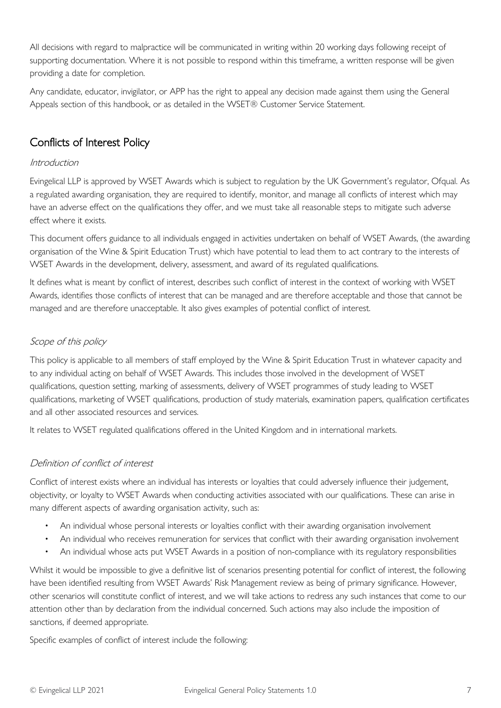All decisions with regard to malpractice will be communicated in writing within 20 working days following receipt of supporting documentation. Where it is not possible to respond within this timeframe, a written response will be given providing a date for completion.

Any candidate, educator, invigilator, or APP has the right to appeal any decision made against them using the General Appeals section of this handbook, or as detailed in the WSET® Customer Service Statement.

# <span id="page-6-0"></span>Conflicts of Interest Policy

# Introduction

Evingelical LLP is approved by WSET Awards which is subject to regulation by the UK Government's regulator, Ofqual. As a regulated awarding organisation, they are required to identify, monitor, and manage all conflicts of interest which may have an adverse effect on the qualifications they offer, and we must take all reasonable steps to mitigate such adverse effect where it exists.

This document offers guidance to all individuals engaged in activities undertaken on behalf of WSET Awards, (the awarding organisation of the Wine & Spirit Education Trust) which have potential to lead them to act contrary to the interests of WSET Awards in the development, delivery, assessment, and award of its regulated qualifications.

It defines what is meant by conflict of interest, describes such conflict of interest in the context of working with WSET Awards, identifies those conflicts of interest that can be managed and are therefore acceptable and those that cannot be managed and are therefore unacceptable. It also gives examples of potential conflict of interest.

# Scope of this policy

This policy is applicable to all members of staff employed by the Wine & Spirit Education Trust in whatever capacity and to any individual acting on behalf of WSET Awards. This includes those involved in the development of WSET qualifications, question setting, marking of assessments, delivery of WSET programmes of study leading to WSET qualifications, marketing of WSET qualifications, production of study materials, examination papers, qualification certificates and all other associated resources and services.

It relates to WSET regulated qualifications offered in the United Kingdom and in international markets.

# Definition of conflict of interest

Conflict of interest exists where an individual has interests or loyalties that could adversely influence their judgement, objectivity, or loyalty to WSET Awards when conducting activities associated with our qualifications. These can arise in many different aspects of awarding organisation activity, such as:

- An individual whose personal interests or loyalties conflict with their awarding organisation involvement
- An individual who receives remuneration for services that conflict with their awarding organisation involvement
- An individual whose acts put WSET Awards in a position of non-compliance with its regulatory responsibilities

Whilst it would be impossible to give a definitive list of scenarios presenting potential for conflict of interest, the following have been identified resulting from WSET Awards' Risk Management review as being of primary significance. However, other scenarios will constitute conflict of interest, and we will take actions to redress any such instances that come to our attention other than by declaration from the individual concerned. Such actions may also include the imposition of sanctions, if deemed appropriate.

Specific examples of conflict of interest include the following: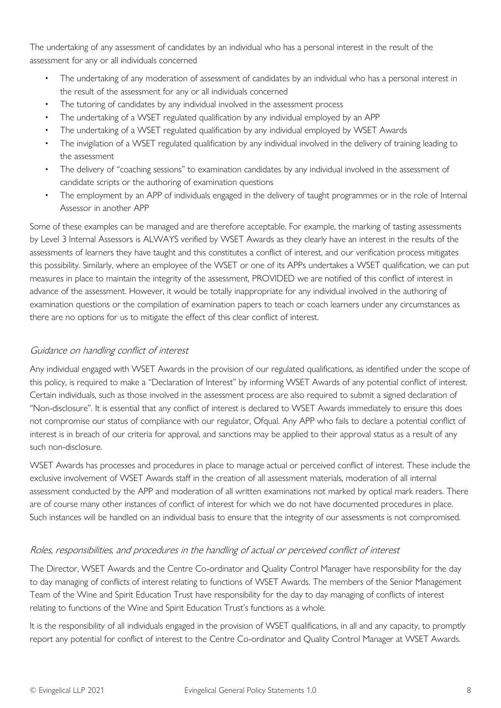The undertaking of any assessment of candidates by an individual who has a personal interest in the result of the assessment for any or all individuals concerned

- The undertaking of any moderation of assessment of candidates by an individual who has a personal interest in the result of the assessment for any or all individuals concerned
- The tutoring of candidates by any individual involved in the assessment process
- The undertaking of a WSET regulated qualification by any individual employed by an APP
- The undertaking of a WSET regulated qualification by any individual employed by WSET Awards
- The invigilation of a WSET regulated qualification by any individual involved in the delivery of training leading to the assessment
- The delivery of "coaching sessions" to examination candidates by any individual involved in the assessment of candidate scripts or the authoring of examination questions
- The employment by an APP of individuals engaged in the delivery of taught programmes or in the role of Internal Assessor in another APP

Some of these examples can be managed and are therefore acceptable. For example, the marking of tasting assessments by Level 3 Internal Assessors is ALWAYS verified by WSET Awards as they clearly have an interest in the results of the assessments of learners they have taught and this constitutes a conflict of interest, and our verification process mitigates this possibility. Similarly, where an employee of the WSET or one of its APPs undertakes a WSET qualification, we can put measures in place to maintain the integrity of the assessment, PROVIDED we are notified of this conflict of interest in advance of the assessment. However, it would be totally inappropriate for any individual involved in the authoring of examination questions or the compilation of examination papers to teach or coach learners under any circumstances as there are no options for us to mitigate the effect of this clear conflict of interest.

# Guidance on handling conflict of interest

Any individual engaged with WSET Awards in the provision of our regulated qualifications, as identified under the scope of this policy, is required to make a "Declaration of Interest" by informing WSET Awards of any potential conflict of interest. Certain individuals, such as those involved in the assessment process are also required to submit a signed declaration of "Non-disclosure". It is essential that any conflict of interest is declared to WSET Awards immediately to ensure this does not compromise our status of compliance with our regulator, Ofqual. Any APP who fails to declare a potential conflict of interest is in breach of our criteria for approval, and sanctions may be applied to their approval status as a result of any such non-disclosure.

WSET Awards has processes and procedures in place to manage actual or perceived conflict of interest. These include the exclusive involvement of WSET Awards staff in the creation of all assessment materials, moderation of all internal assessment conducted by the APP and moderation of all written examinations not marked by optical mark readers. There are of course many other instances of conflict of interest for which we do not have documented procedures in place. Such instances will be handled on an individual basis to ensure that the integrity of our assessments is not compromised.

# Roles, responsibilities, and procedures in the handling of actual or perceived conflict of interest

The Director, WSET Awards and the Centre Co-ordinator and Quality Control Manager have responsibility for the day to day managing of conflicts of interest relating to functions of WSET Awards. The members of the Senior Management Team of the Wine and Spirit Education Trust have responsibility for the day to day managing of conflicts of interest relating to functions of the Wine and Spirit Education Trust's functions as a whole.

It is the responsibility of all individuals engaged in the provision of WSET qualifications, in all and any capacity, to promptly report any potential for conflict of interest to the Centre Co-ordinator and Quality Control Manager at WSET Awards.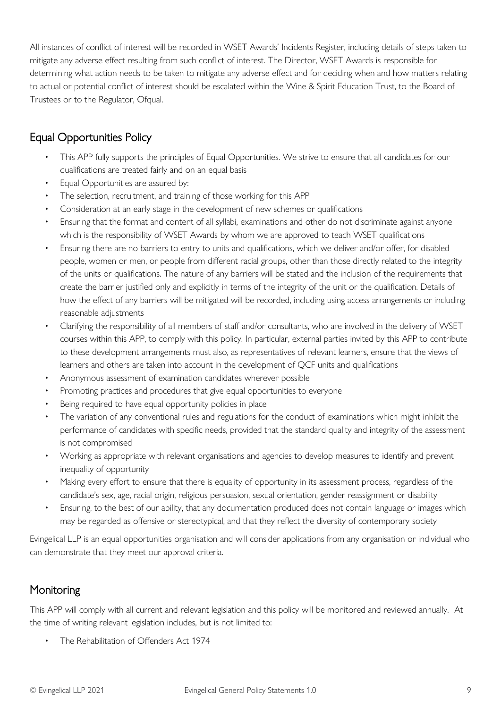All instances of conflict of interest will be recorded in WSET Awards' Incidents Register, including details of steps taken to mitigate any adverse effect resulting from such conflict of interest. The Director, WSET Awards is responsible for determining what action needs to be taken to mitigate any adverse effect and for deciding when and how matters relating to actual or potential conflict of interest should be escalated within the Wine & Spirit Education Trust, to the Board of Trustees or to the Regulator, Ofqual.

# <span id="page-8-0"></span>Equal Opportunities Policy

- This APP fully supports the principles of Equal Opportunities. We strive to ensure that all candidates for our qualifications are treated fairly and on an equal basis
- Equal Opportunities are assured by:
- The selection, recruitment, and training of those working for this APP
- Consideration at an early stage in the development of new schemes or qualifications
- Ensuring that the format and content of all syllabi, examinations and other do not discriminate against anyone which is the responsibility of WSET Awards by whom we are approved to teach WSET qualifications
- Ensuring there are no barriers to entry to units and qualifications, which we deliver and/or offer, for disabled people, women or men, or people from different racial groups, other than those directly related to the integrity of the units or qualifications. The nature of any barriers will be stated and the inclusion of the requirements that create the barrier justified only and explicitly in terms of the integrity of the unit or the qualification. Details of how the effect of any barriers will be mitigated will be recorded, including using access arrangements or including reasonable adjustments
- Clarifying the responsibility of all members of staff and/or consultants, who are involved in the delivery of WSET courses within this APP, to comply with this policy. In particular, external parties invited by this APP to contribute to these development arrangements must also, as representatives of relevant learners, ensure that the views of learners and others are taken into account in the development of QCF units and qualifications
- Anonymous assessment of examination candidates wherever possible
- Promoting practices and procedures that give equal opportunities to everyone
- Being required to have equal opportunity policies in place
- The variation of any conventional rules and regulations for the conduct of examinations which might inhibit the performance of candidates with specific needs, provided that the standard quality and integrity of the assessment is not compromised
- Working as appropriate with relevant organisations and agencies to develop measures to identify and prevent inequality of opportunity
- Making every effort to ensure that there is equality of opportunity in its assessment process, regardless of the candidate's sex, age, racial origin, religious persuasion, sexual orientation, gender reassignment or disability
- Ensuring, to the best of our ability, that any documentation produced does not contain language or images which may be regarded as offensive or stereotypical, and that they reflect the diversity of contemporary society

Evingelical LLP is an equal opportunities organisation and will consider applications from any organisation or individual who can demonstrate that they meet our approval criteria.

# <span id="page-8-1"></span>**Monitoring**

This APP will comply with all current and relevant legislation and this policy will be monitored and reviewed annually. At the time of writing relevant legislation includes, but is not limited to:

• The Rehabilitation of Offenders Act 1974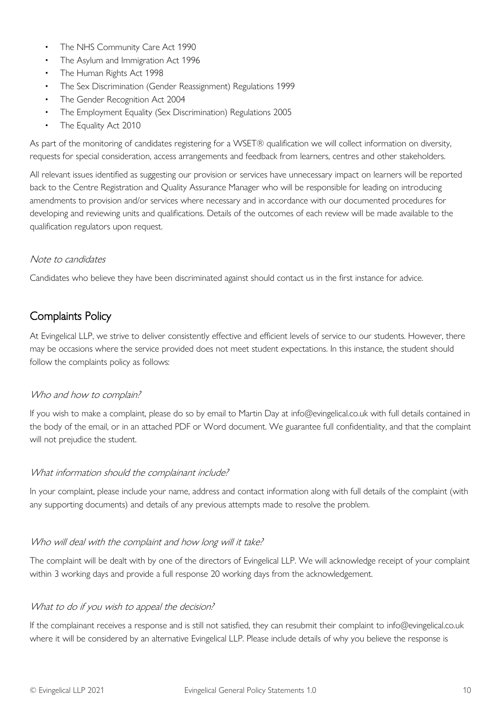- The NHS Community Care Act 1990
- The Asylum and Immigration Act 1996
- The Human Rights Act 1998
- The Sex Discrimination (Gender Reassignment) Regulations 1999
- The Gender Recognition Act 2004
- The Employment Equality (Sex Discrimination) Regulations 2005
- The Equality Act 2010

As part of the monitoring of candidates registering for a WSET® qualification we will collect information on diversity, requests for special consideration, access arrangements and feedback from learners, centres and other stakeholders.

All relevant issues identified as suggesting our provision or services have unnecessary impact on learners will be reported back to the Centre Registration and Quality Assurance Manager who will be responsible for leading on introducing amendments to provision and/or services where necessary and in accordance with our documented procedures for developing and reviewing units and qualifications. Details of the outcomes of each review will be made available to the qualification regulators upon request.

#### Note to candidates

Candidates who believe they have been discriminated against should contact us in the first instance for advice.

# <span id="page-9-0"></span>Complaints Policy

At Evingelical LLP, we strive to deliver consistently effective and efficient levels of service to our students. However, there may be occasions where the service provided does not meet student expectations. In this instance, the student should follow the complaints policy as follows:

#### Who and how to complain?

If you wish to make a complaint, please do so by email to Martin Day at info@evingelical.co.uk with full details contained in the body of the email, or in an attached PDF or Word document. We guarantee full confidentiality, and that the complaint will not prejudice the student.

#### What information should the complainant include?

In your complaint, please include your name, address and contact information along with full details of the complaint (with any supporting documents) and details of any previous attempts made to resolve the problem.

# Who will deal with the complaint and how long will it take?

The complaint will be dealt with by one of the directors of Evingelical LLP. We will acknowledge receipt of your complaint within 3 working days and provide a full response 20 working days from the acknowledgement.

# What to do if you wish to appeal the decision?

If the complainant receives a response and is still not satisfied, they can resubmit their complaint to info@evingelical.co.uk where it will be considered by an alternative Evingelical LLP. Please include details of why you believe the response is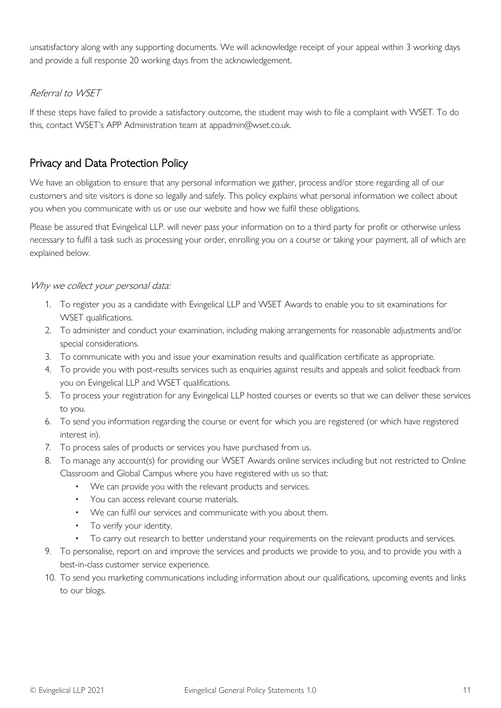unsatisfactory along with any supporting documents. We will acknowledge receipt of your appeal within 3 working days and provide a full response 20 working days from the acknowledgement.

# Referral to WSET

If these steps have failed to provide a satisfactory outcome, the student may wish to file a complaint with WSET. To do this, contact WSET's APP Administration team at appadmin@wset.co.uk.

# <span id="page-10-0"></span>Privacy and Data Protection Policy

We have an obligation to ensure that any personal information we gather, process and/or store regarding all of our customers and site visitors is done so legally and safely. This policy explains what personal information we collect about you when you communicate with us or use our website and how we fulfil these obligations.

Please be assured that Evingelical LLP. will never pass your information on to a third party for profit or otherwise unless necessary to fulfil a task such as processing your order, enrolling you on a course or taking your payment, all of which are explained below.

# Why we collect your personal data:

- 1. To register you as a candidate with Evingelical LLP and WSET Awards to enable you to sit examinations for WSET qualifications.
- 2. To administer and conduct your examination, including making arrangements for reasonable adjustments and/or special considerations.
- 3. To communicate with you and issue your examination results and qualification certificate as appropriate.
- 4. To provide you with post-results services such as enquiries against results and appeals and solicit feedback from you on Evingelical LLP and WSET qualifications.
- 5. To process your registration for any Evingelical LLP hosted courses or events so that we can deliver these services to you.
- 6. To send you information regarding the course or event for which you are registered (or which have registered interest in).
- 7. To process sales of products or services you have purchased from us.
- 8. To manage any account(s) for providing our WSET Awards online services including but not restricted to Online Classroom and Global Campus where you have registered with us so that:
	- We can provide you with the relevant products and services.
	- You can access relevant course materials.
	- We can fulfil our services and communicate with you about them.
	- To verify your identity.
	- To carry out research to better understand your requirements on the relevant products and services.
- 9. To personalise, report on and improve the services and products we provide to you, and to provide you with a best-in-class customer service experience.
- 10. To send you marketing communications including information about our qualifications, upcoming events and links to our blogs.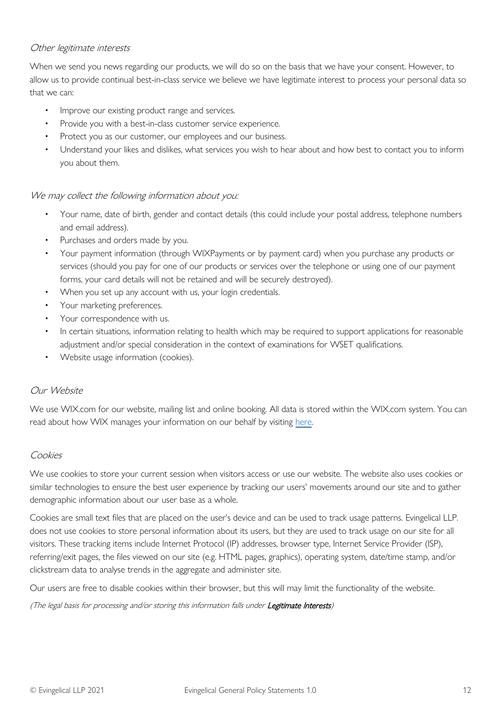# Other legitimate interests

When we send you news regarding our products, we will do so on the basis that we have your consent. However, to allow us to provide continual best-in-class service we believe we have legitimate interest to process your personal data so that we can:

- Improve our existing product range and services.
- Provide you with a best-in-class customer service experience.
- Protect you as our customer, our employees and our business.
- Understand your likes and dislikes, what services you wish to hear about and how best to contact you to inform you about them.

#### We may collect the following information about you:

- Your name, date of birth, gender and contact details (this could include your postal address, telephone numbers and email address).
- Purchases and orders made by you.
- Your payment information (through WIXPayments or by payment card) when you purchase any products or services (should you pay for one of our products or services over the telephone or using one of our payment forms, your card details will not be retained and will be securely destroyed).
- When you set up any account with us, your login credentials.
- Your marketing preferences.
- Your correspondence with us.
- In certain situations, information relating to health which may be required to support applications for reasonable adjustment and/or special consideration in the context of examinations for WSET qualifications.
- Website usage information (cookies).

# Our Website

We use WIX.com for our website, mailing list and online booking. All data is stored within the WIX.com system. You can read about how WIX manages your information on our behalf by visiting [here.](https://www.wix.com/about/privacy)

#### Cookies

We use cookies to store your current session when visitors access or use our website. The website also uses cookies or similar technologies to ensure the best user experience by tracking our users' movements around our site and to gather demographic information about our user base as a whole.

Cookies are small text files that are placed on the user's device and can be used to track usage patterns. Evingelical LLP. does not use cookies to store personal information about its users, but they are used to track usage on our site for all visitors. These tracking items include Internet Protocol (IP) addresses, browser type, Internet Service Provider (ISP), referring/exit pages, the files viewed on our site (e.g. HTML pages, graphics), operating system, date/time stamp, and/or clickstream data to analyse trends in the aggregate and administer site.

Our users are free to disable cookies within their browser, but this will may limit the functionality of the website.

(The legal basis for processing and/or storing this information falls under Legitimate Interests)